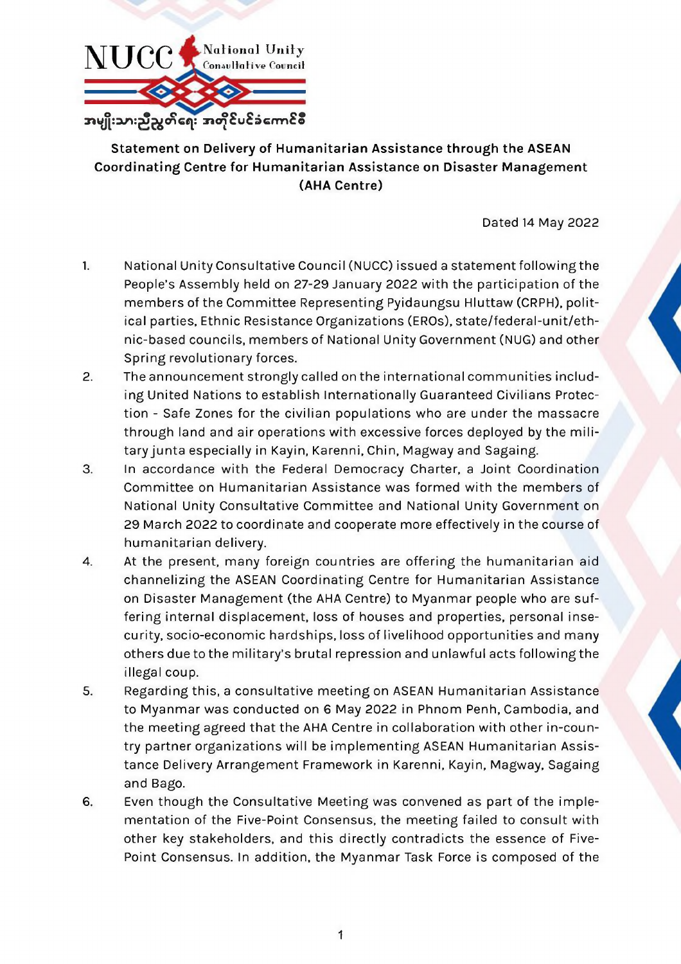

## **Statement on Delivery of Humanitarian Assistance through the ASEAN Coordinating Centre for Humanitarian Assistance on Disaster Management (AHA Centre)**

Dated 14 May 2022

- 1. National Unity Consultative Council (NUCC) issued a statement followingthe People's Assembly held on 27-29 January 2022 with the participation of the members of the Committee Representing Pyidaungsu Hluttaw (CRPH), political parties, Ethnic Resistance Organizations (EROs), state/federal-unit/ethnic-based councils, members of National Unity Government (NUG) and other Spring revolutionary forces.
- 2. The announcement strongly called on the international communities including United Nations to establish Internationally Guaranteed Civilians Protection - Safe Zones for the civilian populations who are under the massacre through land and air operations with excessive forces deployed by the military junta especially in Kayin, Karenni, Chin, Magway and Sagaing.
- 3. In accordance with the Federal Democracy Charter, a Joint Coordination Committee on Humanitarian Assistance was formed with the members of National Unity Consultative Committee and National Unity Government on 29 March 2022 to coordinate and cooperate more effectively in the course of
	- humanitarian delivery.
- 4. At the present, many foreign countries are offering the humanitarian aid channelizing the ASEAN Coordinating Centre for Humanitarian Assistance on Disaster Management (the AHA Centre) to Myanmar people who are suffering internal displacement, loss of houses and properties, personal insecurity, socio-economic hardships, loss of livelihood opportunities and many others due to the military's brutal repression and unlawful acts following the illegal coup.
- 5. Regarding this, a consultative meeting on ASEAN Humanitarian Assistance to Myanmar was conducted on 6 May 2022 in Phnom Penh, Cambodia, and the meeting agreed that the AHA Centre in collaboration with other in-country partner organizations will be implementing ASEAN Humanitarian Assistance Delivery Arrangement Framework in Karenni, Kayin, Magway, Sagaing and Bago.
- 6. Even though the Consultative Meeting was convened as part of the implementation of the Five-Point Consensus, the meeting failed to consult with other key stakeholders, and this directly contradicts the essence of Five-Point Consensus. In addition, the Myanmar Task Force is composed of the